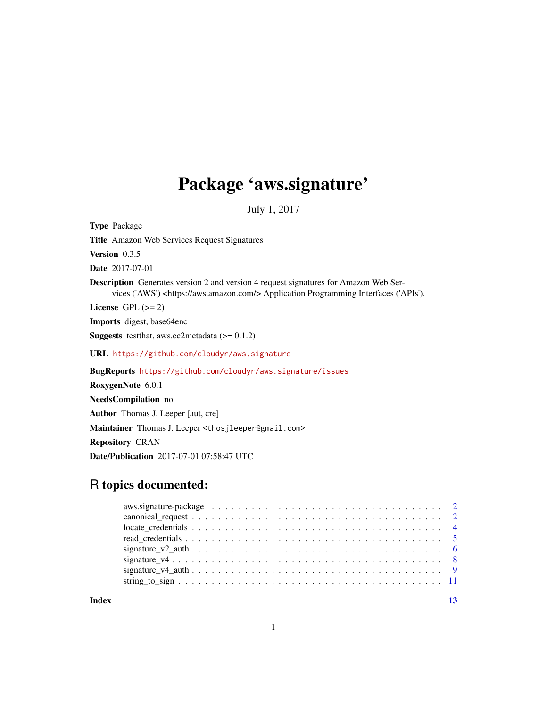## Package 'aws.signature'

July 1, 2017

<span id="page-0-0"></span>Type Package Title Amazon Web Services Request Signatures Version 0.3.5 Date 2017-07-01 Description Generates version 2 and version 4 request signatures for Amazon Web Services ('AWS') <https://aws.amazon.com/> Application Programming Interfaces ('APIs'). License GPL  $(>= 2)$ Imports digest, base64enc **Suggests** testthat, aws.ec2metadata  $(>= 0.1.2)$ URL <https://github.com/cloudyr/aws.signature> BugReports <https://github.com/cloudyr/aws.signature/issues> RoxygenNote 6.0.1 NeedsCompilation no Author Thomas J. Leeper [aut, cre] Maintainer Thomas J. Leeper <thosjleeper@gmail.com> Repository CRAN

Date/Publication 2017-07-01 07:58:47 UTC

### R topics documented:

**Index** [13](#page-12-0)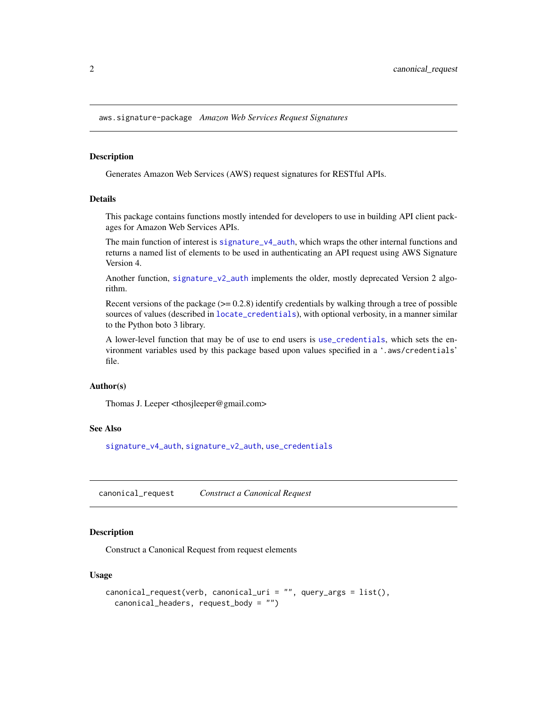<span id="page-1-0"></span>aws.signature-package *Amazon Web Services Request Signatures*

#### Description

Generates Amazon Web Services (AWS) request signatures for RESTful APIs.

#### Details

This package contains functions mostly intended for developers to use in building API client packages for Amazon Web Services APIs.

The main function of interest is [signature\\_v4\\_auth](#page-8-1), which wraps the other internal functions and returns a named list of elements to be used in authenticating an API request using AWS Signature Version 4.

Another function, [signature\\_v2\\_auth](#page-5-1) implements the older, mostly deprecated Version 2 algorithm.

Recent versions of the package  $(>= 0.2.8)$  identify credentials by walking through a tree of possible sources of values (described in [locate\\_credentials](#page-3-1)), with optional verbosity, in a manner similar to the Python boto 3 library.

A lower-level function that may be of use to end users is [use\\_credentials](#page-4-1), which sets the environment variables used by this package based upon values specified in a '.aws/credentials' file.

#### Author(s)

Thomas J. Leeper <thosjleeper@gmail.com>

#### See Also

[signature\\_v4\\_auth](#page-8-1), [signature\\_v2\\_auth](#page-5-1), [use\\_credentials](#page-4-1)

<span id="page-1-1"></span>canonical\_request *Construct a Canonical Request*

#### Description

Construct a Canonical Request from request elements

#### Usage

```
canonical_request(verb, canonical_uri = "", query_args = list(),
  canonical_headers, request_body = "")
```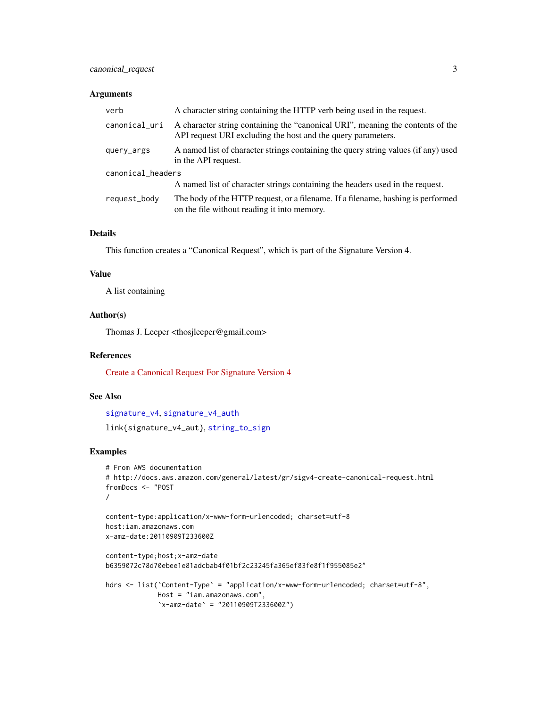#### <span id="page-2-0"></span>canonical\_request 3

#### Arguments

| verb              | A character string containing the HTTP verb being used in the request.                                                                         |
|-------------------|------------------------------------------------------------------------------------------------------------------------------------------------|
| canonical_uri     | A character string containing the "canonical URI", meaning the contents of the<br>API request URI excluding the host and the query parameters. |
| query_args        | A named list of character strings containing the query string values (if any) used<br>in the API request.                                      |
| canonical_headers |                                                                                                                                                |
|                   | A named list of character strings containing the headers used in the request.                                                                  |
| request_body      | The body of the HTTP request, or a filename. If a filename, hashing is performed<br>on the file without reading it into memory.                |

#### Details

This function creates a "Canonical Request", which is part of the Signature Version 4.

#### Value

A list containing

#### Author(s)

Thomas J. Leeper <thosjleeper@gmail.com>

#### References

[Create a Canonical Request For Signature Version 4](http://docs.aws.amazon.com/general/latest/gr/sigv4-create-canonical-request.html)

#### See Also

```
signature_v4, signature_v4_auth
link{signature_v4_aut}, string_to_sign
```
#### Examples

```
# From AWS documentation
# http://docs.aws.amazon.com/general/latest/gr/sigv4-create-canonical-request.html
fromDocs <- "POST
/
content-type:application/x-www-form-urlencoded; charset=utf-8
host:iam.amazonaws.com
x-amz-date:20110909T233600Z
content-type;host;x-amz-date
b6359072c78d70ebee1e81adcbab4f01bf2c23245fa365ef83fe8f1f955085e2"
hdrs <- list('Content-Type' = "application/x-www-form-urlencoded; charset=utf-8",
             Host = "iam.amazonaws.com",
             `x-amz-date` = "20110909T233600Z")
```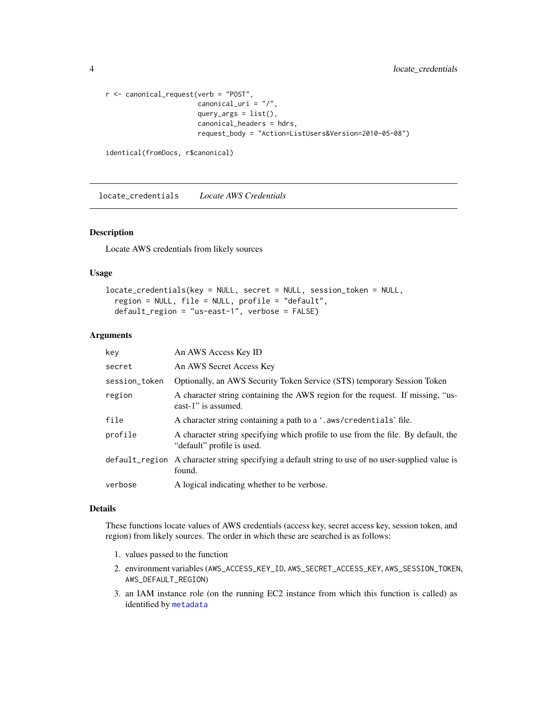```
r <- canonical_request(verb = "POST",
                      canonical_uri = "/",
                       query_args = list(),
                       canonical_headers = hdrs,
                       request_body = "Action=ListUsers&Version=2010-05-08")
```

```
identical(fromDocs, r$canonical)
```
<span id="page-3-1"></span>locate\_credentials *Locate AWS Credentials*

#### Description

Locate AWS credentials from likely sources

#### Usage

```
locate_credentials(key = NULL, secret = NULL, session_token = NULL,
  region = NULL, file = NULL, profile = "default",
 default_region = "us-east-1", verbose = FALSE)
```
#### Arguments

| key           | An AWS Access Key ID                                                                                            |
|---------------|-----------------------------------------------------------------------------------------------------------------|
| secret        | An AWS Secret Access Key                                                                                        |
| session_token | Optionally, an AWS Security Token Service (STS) temporary Session Token                                         |
| region        | A character string containing the AWS region for the request. If missing, "us-<br>east-1" is assumed.           |
| file          | A character string containing a path to a '. aws/credentials' file.                                             |
| profile       | A character string specifying which profile to use from the file. By default, the<br>"default" profile is used. |
|               | default_region A character string specifying a default string to use of no user-supplied value is<br>found.     |
| verbose       | A logical indicating whether to be verbose.                                                                     |

#### Details

These functions locate values of AWS credentials (access key, secret access key, session token, and region) from likely sources. The order in which these are searched is as follows:

- 1. values passed to the function
- 2. environment variables (AWS\_ACCESS\_KEY\_ID, AWS\_SECRET\_ACCESS\_KEY, AWS\_SESSION\_TOKEN, AWS\_DEFAULT\_REGION)
- 3. an IAM instance role (on the running EC2 instance from which this function is called) as identified by [metadata](#page-0-0)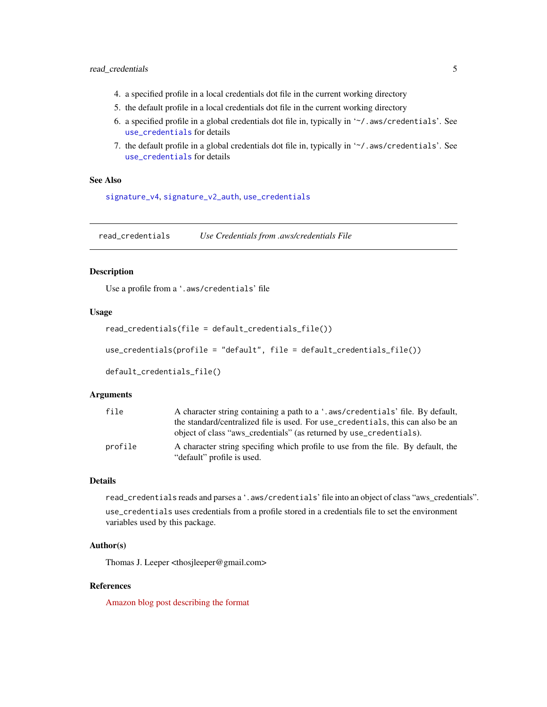#### <span id="page-4-0"></span>read\_credentials 5

- 4. a specified profile in a local credentials dot file in the current working directory
- 5. the default profile in a local credentials dot file in the current working directory
- 6. a specified profile in a global credentials dot file in, typically in '~/.aws/credentials'. See [use\\_credentials](#page-4-1) for details
- 7. the default profile in a global credentials dot file in, typically in '~/. aws/credentials'. See [use\\_credentials](#page-4-1) for details

#### See Also

[signature\\_v4](#page-7-1), [signature\\_v2\\_auth](#page-5-1), [use\\_credentials](#page-4-1)

read\_credentials *Use Credentials from .aws/credentials File*

#### <span id="page-4-1"></span>Description

Use a profile from a '.aws/credentials' file

#### Usage

```
read_credentials(file = default_credentials_file())
```
use\_credentials(profile = "default", file = default\_credentials\_file())

```
default_credentials_file()
```
#### Arguments

| file    | A character string containing a path to a '.aws/credentials' file. By default,   |
|---------|----------------------------------------------------------------------------------|
|         | the standard/centralized file is used. For use_credentials, this can also be an  |
|         | object of class "aws_credentials" (as returned by use_credentials).              |
| profile | A character string specifing which profile to use from the file. By default, the |
|         | "default" profile is used.                                                       |

#### Details

read\_credentials reads and parses a '. aws/credentials' file into an object of class "aws\_credentials".

use\_credentials uses credentials from a profile stored in a credentials file to set the environment variables used by this package.

#### Author(s)

Thomas J. Leeper <thosjleeper@gmail.com>

#### References

[Amazon blog post describing the format](https://blogs.aws.amazon.com/security/post/Tx3D6U6WSFGOK2H/A-New-and-Standardized-Way-to-Manage-Credentials-in-the-AWS-SDKs)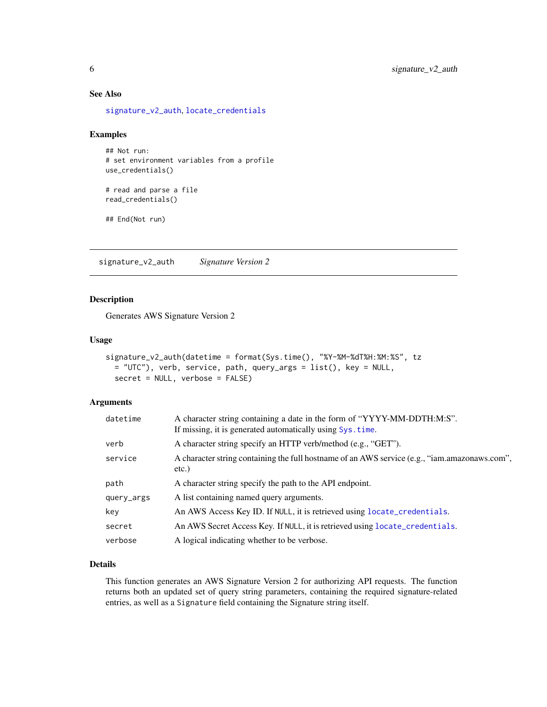#### See Also

[signature\\_v2\\_auth](#page-5-1), [locate\\_credentials](#page-3-1)

#### Examples

```
## Not run:
# set environment variables from a profile
use_credentials()
```

```
# read and parse a file
read_credentials()
```
## End(Not run)

<span id="page-5-1"></span>signature\_v2\_auth *Signature Version 2*

#### Description

Generates AWS Signature Version 2

#### Usage

```
signature_v2_auth(datetime = format(Sys.time(), "%Y-%M-%dT%H:%M:%S", tz
 = "UTC"), verb, service, path, query_args = list(), key = NULL,
 secret = NULL, verbose = FALSE)
```
#### Arguments

| datetime   | A character string containing a date in the form of "YYYY-MM-DDTH:M:S".<br>If missing, it is generated automatically using Sys. time. |
|------------|---------------------------------------------------------------------------------------------------------------------------------------|
| verb       | A character string specify an HTTP verb/method (e.g., "GET").                                                                         |
| service    | A character string containing the full hostname of an AWS service (e.g., "iam.amazonaws.com",<br>$etc.$ )                             |
| path       | A character string specify the path to the API endpoint.                                                                              |
| query_args | A list containing named query arguments.                                                                                              |
| key        | An AWS Access Key ID. If NULL, it is retrieved using locate_credentials.                                                              |
| secret     | An AWS Secret Access Key. If NULL, it is retrieved using locate_credentials.                                                          |
| verbose    | A logical indicating whether to be verbose.                                                                                           |

#### Details

This function generates an AWS Signature Version 2 for authorizing API requests. The function returns both an updated set of query string parameters, containing the required signature-related entries, as well as a Signature field containing the Signature string itself.

<span id="page-5-0"></span>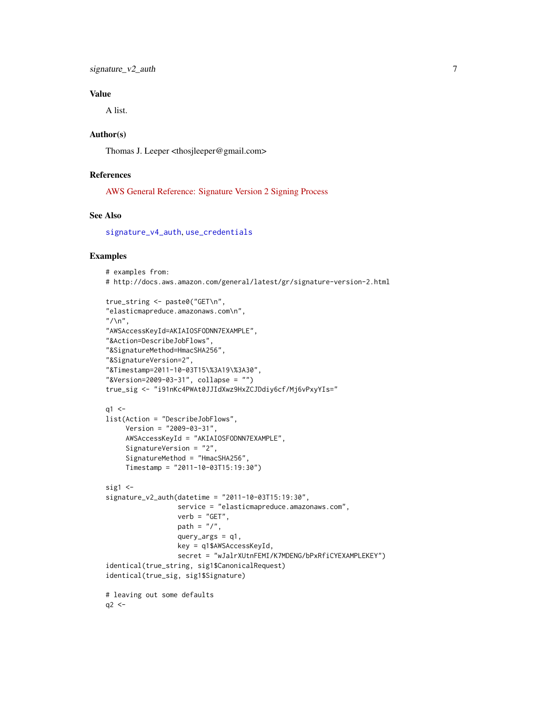#### <span id="page-6-0"></span>Value

A list.

#### Author(s)

Thomas J. Leeper <thosjleeper@gmail.com>

#### References

[AWS General Reference: Signature Version 2 Signing Process](http://docs.aws.amazon.com/general/latest/gr/signature-version-2.html)

#### See Also

[signature\\_v4\\_auth](#page-8-1), [use\\_credentials](#page-4-1)

#### Examples

```
# examples from:
# http://docs.aws.amazon.com/general/latest/gr/signature-version-2.html
```

```
true_string <- paste0("GET\n",
"elasticmapreduce.amazonaws.com\n",
''/\n\ln",
"AWSAccessKeyId=AKIAIOSFODNN7EXAMPLE",
"&Action=DescribeJobFlows",
"&SignatureMethod=HmacSHA256",
"&SignatureVersion=2",
"&Timestamp=2011-10-03T15\%3A19\%3A30",
"&Version=2009-03-31", collapse = "")
true_sig <- "i91nKc4PWAt0JJIdXwz9HxZCJDdiy6cf/Mj6vPxyYIs="
q1 < -list(Action = "DescribeJobFlows",
     Version = "2009-03-31",
     AWSAccessKeyId = "AKIAIOSFODNN7EXAMPLE",
     SignatureVersion = "2",
     SignatureMethod = "HmacSHA256",
    Timestamp = "2011-10-03T15:19:30")
sig1 < -signature_v2_auth(datetime = "2011-10-03T15:19:30",
                  service = "elasticmapreduce.amazonaws.com",
                  verb = "GET",path = "/",
                  query_args = q1,
                  key = q1$AWSAccessKeyId,
                  secret = "wJalrXUtnFEMI/K7MDENG/bPxRfiCYEXAMPLEKEY")
identical(true_string, sig1$CanonicalRequest)
identical(true_sig, sig1$Signature)
# leaving out some defaults
q2 <-
```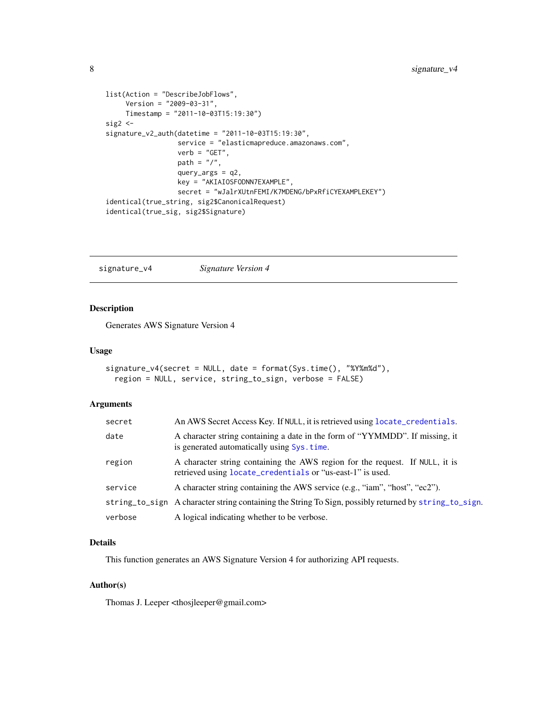```
list(Action = "DescribeJobFlows",
    Version = "2009-03-31",
    Timestamp = "2011-10-03T15:19:30")
sig2 <-
signature_v2_auth(datetime = "2011-10-03T15:19:30",
                  service = "elasticmapreduce.amazonaws.com",
                  verb = "GET",path = \frac{n}{n},
                  query_args = q2,
                  key = "AKIAIOSFODNN7EXAMPLE",
                  secret = "wJalrXUtnFEMI/K7MDENG/bPxRfiCYEXAMPLEKEY")
identical(true_string, sig2$CanonicalRequest)
identical(true_sig, sig2$Signature)
```
<span id="page-7-1"></span>signature\_v4 *Signature Version 4*

#### Description

Generates AWS Signature Version 4

#### Usage

```
signature_v4(secret = NULL, date = format(Sys.time(), "%Y%m%d"),
 region = NULL, service, string_to_sign, verbose = FALSE)
```
#### Arguments

| secret  | An AWS Secret Access Key. If NULL, it is retrieved using locate_credentials.                                                               |
|---------|--------------------------------------------------------------------------------------------------------------------------------------------|
| date    | A character string containing a date in the form of "YYMMDD". If missing, it<br>is generated automatically using Sys.time.                 |
| region  | A character string containing the AWS region for the request. If NULL, it is<br>retrieved using locate_credentials or "us-east-1" is used. |
| service | A character string containing the AWS service (e.g., "iam", "host", "ec2").                                                                |
|         | string_to_sign A character string containing the String To Sign, possibly returned by string_to_sign.                                      |
| verbose | A logical indicating whether to be verbose.                                                                                                |

#### Details

This function generates an AWS Signature Version 4 for authorizing API requests.

#### Author(s)

Thomas J. Leeper <thosjleeper@gmail.com>

<span id="page-7-0"></span>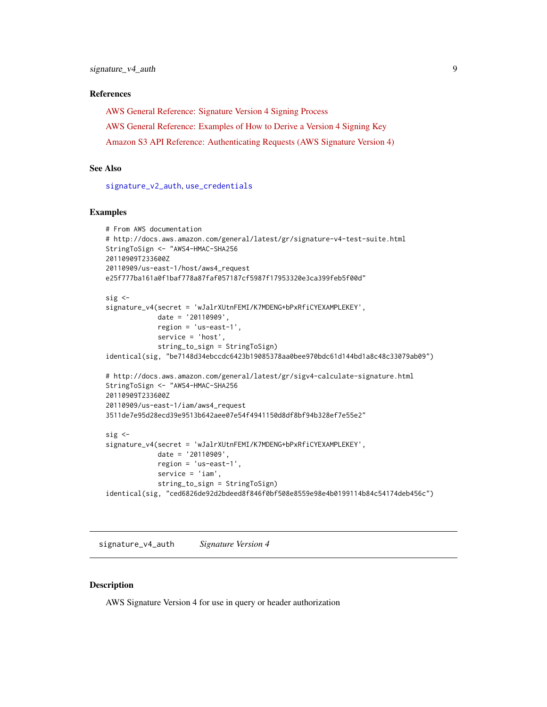#### <span id="page-8-0"></span>References

[AWS General Reference: Signature Version 4 Signing Process](http://docs.aws.amazon.com/general/latest/gr/signature-version-4.html) [AWS General Reference: Examples of How to Derive a Version 4 Signing Key](http://docs.aws.amazon.com/general/latest/gr/signature-v4-examples.html) [Amazon S3 API Reference: Authenticating Requests \(AWS Signature Version 4\)](http://docs.aws.amazon.com/AmazonS3/latest/API/sig-v4-authenticating-requests.html)

#### See Also

[signature\\_v2\\_auth](#page-5-1), [use\\_credentials](#page-4-1)

#### Examples

```
# From AWS documentation
# http://docs.aws.amazon.com/general/latest/gr/signature-v4-test-suite.html
StringToSign <- "AWS4-HMAC-SHA256
20110909T233600Z
20110909/us-east-1/host/aws4_request
e25f777ba161a0f1baf778a87faf057187cf5987f17953320e3ca399feb5f00d"
sig \leqsignature_v4(secret = 'wJalrXUtnFEMI/K7MDENG+bPxRfiCYEXAMPLEKEY',
             date = '20110909',
             region = 'us-east-1',
             service = 'host',
             string_to_sign = StringToSign)
identical(sig, "be7148d34ebccdc6423b19085378aa0bee970bdc61d144bd1a8c48c33079ab09")
# http://docs.aws.amazon.com/general/latest/gr/sigv4-calculate-signature.html
StringToSign <- "AWS4-HMAC-SHA256
20110909T233600Z
20110909/us-east-1/iam/aws4_request
3511de7e95d28ecd39e9513b642aee07e54f4941150d8df8bf94b328ef7e55e2"
sig <-
signature_v4(secret = 'wJalrXUtnFEMI/K7MDENG+bPxRfiCYEXAMPLEKEY',
             date = '20110909',
             region = 'us-east-1',
             service = 'iam',
             string_to_sign = StringToSign)
identical(sig, "ced6826de92d2bdeed8f846f0bf508e8559e98e4b0199114b84c54174deb456c")
```
<span id="page-8-1"></span>signature\_v4\_auth *Signature Version 4*

#### Description

AWS Signature Version 4 for use in query or header authorization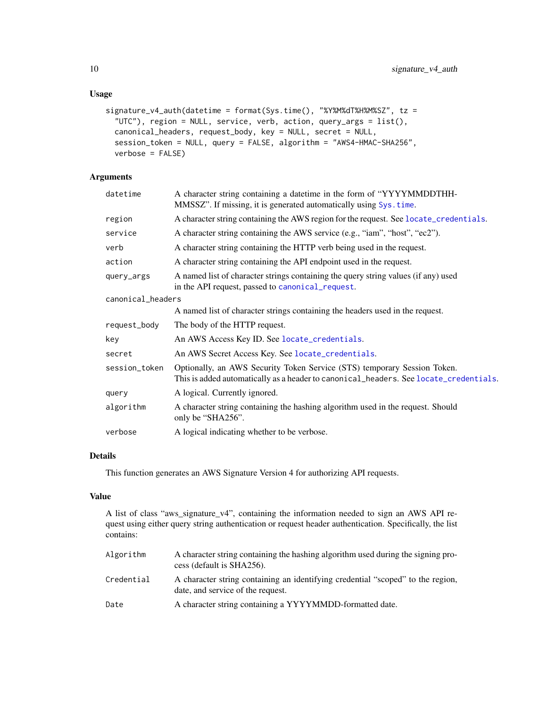#### Usage

```
signature_v4_auth(datetime = format(Sys.time(), "%Y%M%dT%H%M%SZ", tz =
  "UTC"), region = NULL, service, verb, action, query_args = list(),
 canonical_headers, request_body, key = NULL, secret = NULL,
 session_token = NULL, query = FALSE, algorithm = "AWS4-HMAC-SHA256",
 verbose = FALSE)
```
#### Arguments

| datetime          | A character string containing a datetime in the form of "YYYYMMDDTHH-<br>MMSSZ". If missing, it is generated automatically using Sys. time.                       |
|-------------------|-------------------------------------------------------------------------------------------------------------------------------------------------------------------|
| region            | A character string containing the AWS region for the request. See locate_credentials.                                                                             |
| service           | A character string containing the AWS service (e.g., "iam", "host", "ec2").                                                                                       |
| verb              | A character string containing the HTTP verb being used in the request.                                                                                            |
| action            | A character string containing the API endpoint used in the request.                                                                                               |
| query_args        | A named list of character strings containing the query string values (if any) used<br>in the API request, passed to canonical_request.                            |
| canonical_headers |                                                                                                                                                                   |
|                   | A named list of character strings containing the headers used in the request.                                                                                     |
| request_body      | The body of the HTTP request.                                                                                                                                     |
| key               | An AWS Access Key ID. See locate_credentials.                                                                                                                     |
| secret            | An AWS Secret Access Key. See locate_credentials.                                                                                                                 |
| session_token     | Optionally, an AWS Security Token Service (STS) temporary Session Token.<br>This is added automatically as a header to canonical_headers. See locate_credentials. |
| query             | A logical. Currently ignored.                                                                                                                                     |
| algorithm         | A character string containing the hashing algorithm used in the request. Should<br>only be "SHA256".                                                              |
| verbose           | A logical indicating whether to be verbose.                                                                                                                       |
|                   |                                                                                                                                                                   |

#### Details

This function generates an AWS Signature Version 4 for authorizing API requests.

#### Value

A list of class "aws\_signature\_v4", containing the information needed to sign an AWS API request using either query string authentication or request header authentication. Specifically, the list contains:

| Algorithm  | A character string containing the hashing algorithm used during the signing pro-<br>cess (default is SHA256).        |
|------------|----------------------------------------------------------------------------------------------------------------------|
| Credential | A character string containing an identifying credential "scoped" to the region,<br>date, and service of the request. |
| Date       | A character string containing a YYYYMMDD-formatted date.                                                             |

<span id="page-9-0"></span>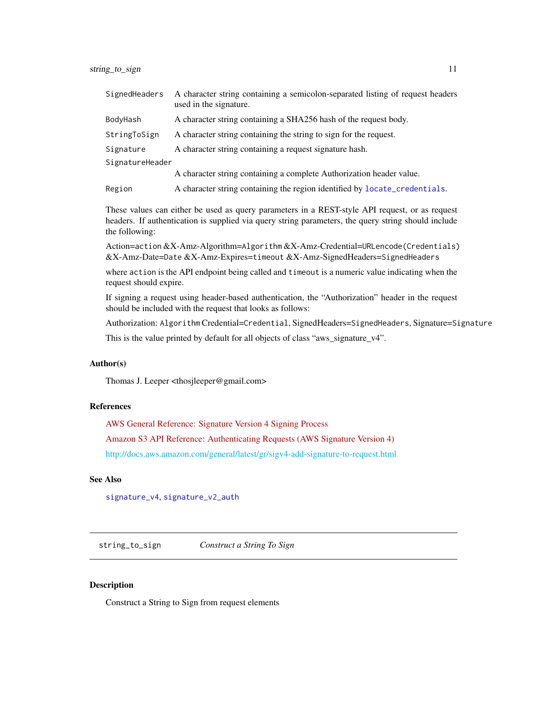<span id="page-10-0"></span>

| SignedHeaders   | A character string containing a semicolon-separated listing of request headers<br>used in the signature. |
|-----------------|----------------------------------------------------------------------------------------------------------|
| BodyHash        | A character string containing a SHA256 hash of the request body.                                         |
| StringToSign    | A character string containing the string to sign for the request.                                        |
| Signature       | A character string containing a request signature hash.                                                  |
| SignatureHeader |                                                                                                          |
|                 | A character string containing a complete Authorization header value.                                     |
| Region          | A character string containing the region identified by locate_credentials.                               |

These values can either be used as query parameters in a REST-style API request, or as request headers. If authentication is supplied via query string parameters, the query string should include the following:

Action=action &X-Amz-Algorithm=Algorithm &X-Amz-Credential=URLencode(Credentials) &X-Amz-Date=Date &X-Amz-Expires=timeout &X-Amz-SignedHeaders=SignedHeaders

where action is the API endpoint being called and timeout is a numeric value indicating when the request should expire.

If signing a request using header-based authentication, the "Authorization" header in the request should be included with the request that looks as follows:

Authorization: Algorithm Credential=Credential, SignedHeaders=SignedHeaders, Signature=Signature

This is the value printed by default for all objects of class "aws\_signature\_v4".

#### Author(s)

Thomas J. Leeper <thosjleeper@gmail.com>

#### References

[AWS General Reference: Signature Version 4 Signing Process](http://docs.aws.amazon.com/general/latest/gr/signature-version-4.html) [Amazon S3 API Reference: Authenticating Requests \(AWS Signature Version 4\)](http://docs.aws.amazon.com/AmazonS3/latest/API/sig-v4-authenticating-requests.html) [http://docs.aws.amazon.com/general/latest/gr/sigv4-add-signature-to-request.html](#page-0-0)

#### See Also

[signature\\_v4](#page-7-1), [signature\\_v2\\_auth](#page-5-1)

<span id="page-10-1"></span>string\_to\_sign *Construct a String To Sign*

#### **Description**

Construct a String to Sign from request elements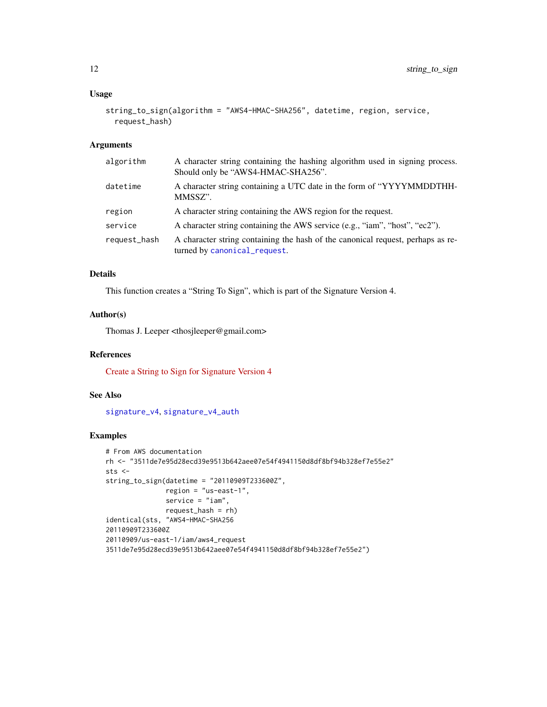#### <span id="page-11-0"></span>Usage

```
string_to_sign(algorithm = "AWS4-HMAC-SHA256", datetime, region, service,
  request_hash)
```
#### Arguments

| algorithm    | A character string containing the hashing algorithm used in signing process.<br>Should only be "AWS4-HMAC-SHA256". |
|--------------|--------------------------------------------------------------------------------------------------------------------|
| datetime     | A character string containing a UTC date in the form of "YYYYMMDDTHH-<br>MMSSZ".                                   |
| region       | A character string containing the AWS region for the request.                                                      |
| service      | A character string containing the AWS service (e.g., "iam", "host", "ec2").                                        |
| request_hash | A character string containing the hash of the canonical request, perhaps as re-<br>turned by canonical_request.    |

#### Details

This function creates a "String To Sign", which is part of the Signature Version 4.

#### Author(s)

Thomas J. Leeper <thosjleeper@gmail.com>

#### References

[Create a String to Sign for Signature Version 4](http://docs.aws.amazon.com/general/latest/gr/sigv4-create-string-to-sign.html)

#### See Also

[signature\\_v4](#page-7-1), [signature\\_v4\\_auth](#page-8-1)

#### Examples

```
# From AWS documentation
rh <- "3511de7e95d28ecd39e9513b642aee07e54f4941150d8df8bf94b328ef7e55e2"
sts <-
string_to_sign(datetime = "20110909T233600Z",
              region = "us-east-1",
              service = "iam",request_hash = rh)
identical(sts, "AWS4-HMAC-SHA256
20110909T233600Z
20110909/us-east-1/iam/aws4_request
3511de7e95d28ecd39e9513b642aee07e54f4941150d8df8bf94b328ef7e55e2")
```